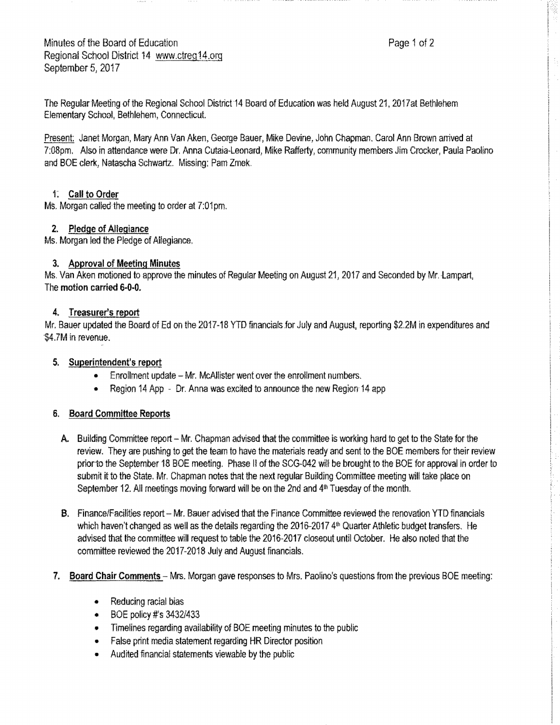The Regular Meeting of the Regional School District-14 Board of Education was held August 21, 2017at Bethlehem Elementary School, Bethlehem, Connecticut.

Present: Janet Morgan, Mary Ann Van Aken, George Bauer, Mike Devine, John Chapman. Carol Ann Brown anived at 7:08pm. Also in attendarice were Dr. Anna Cutaia-Leonard, Mike Rafferty, community members Jim Crocker, Paula Paolino and BOE clerk, Natascha Schwartz. Missing: Pam Zmek.

#### 1: **Call to Order**

Ms. Morgan called the meeting to order at 7:01pm.

## **2.** Pledge of Allegiance

Ms. Morgan led the Pledge of Ailegiance.

## **3. Approval** of **Meeting Minutes**

Ms. Van Aken motioned to approve the minutes of Regular Meeting on August 21, 2017 and Seconded by Mr. Lampart, The **motion carried 6-0-0.** 

## **4. Treasurer's report**

Mr. Bauer updated the Board of Ed on the 2017-18 YTD financials for July and August, reporting \$2,2M in expenditures and \$4.7M in revenue.

## **5. Superintendent's report**

- Enrollment update Mr. McAllister went over the enrollment numbers.
- Region 14 App Dr. Anna was excited to announce the new Region-14 app

# **6. Board Committee Reports**

- A. Building Committee report Mr. Chapman advised that the committee is working hard to get to the State for the review. They are pushing to get the team to have the materials ready and sent to the BOE members for their review priorto the September 18 BOE meeting. Phase II of the SCG-042 will be brought to the BOE for approval in order to submit it to the State. Mr. Chapman notes that the next regular Building Committee meeting will take place on September 12. All meetings moving forward will be on the 2nd and  $4<sup>th</sup>$  Tuesday of the month.
- B. Finance/Facilities report Mr. Bauer advised that the Finance Committee reviewed the renovation YTD financials which haven't changed as well as the details regarding the  $2016-2017$  4<sup>th</sup> Quarter Athletic budget transfers, He advised that the committee will request to table the 2016-2017 closeout until October. He also noted that the committee reviewed the-2017-2018 July and August financials.
- 7. Board Chair Comments Mrs. Morgan gave responses to Mrs. Paolina's questions from the previous BOE meeting:
	- Reducing racial bias
	- BOE policy #'s 3432/433
	- Timelines regarding availability of BOE meeting minutes to the public
	- False print media statement regarding HR Director position
	- Audited financial statements viewable by the public